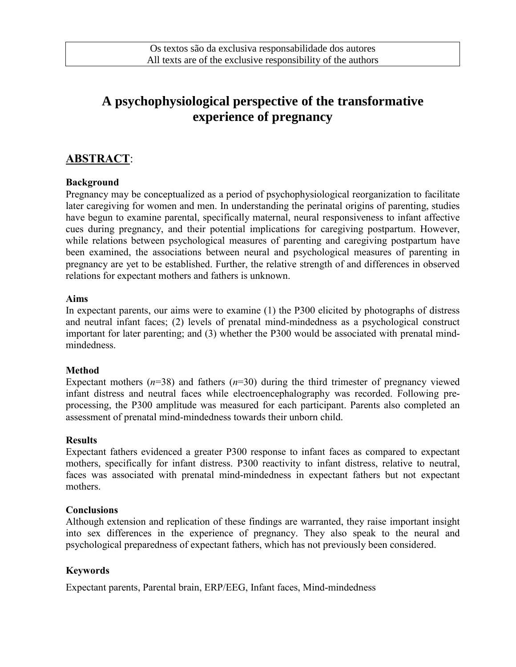# **A psychophysiological perspective of the transformative experience of pregnancy**

# **ABSTRACT**:

## **Background**

Pregnancy may be conceptualized as a period of psychophysiological reorganization to facilitate later caregiving for women and men. In understanding the perinatal origins of parenting, studies have begun to examine parental, specifically maternal, neural responsiveness to infant affective cues during pregnancy, and their potential implications for caregiving postpartum. However, while relations between psychological measures of parenting and caregiving postpartum have been examined, the associations between neural and psychological measures of parenting in pregnancy are yet to be established. Further, the relative strength of and differences in observed relations for expectant mothers and fathers is unknown.

#### **Aims**

In expectant parents, our aims were to examine (1) the P300 elicited by photographs of distress and neutral infant faces; (2) levels of prenatal mind-mindedness as a psychological construct important for later parenting; and (3) whether the P300 would be associated with prenatal mindmindedness.

## **Method**

Expectant mothers  $(n=38)$  and fathers  $(n=30)$  during the third trimester of pregnancy viewed infant distress and neutral faces while electroencephalography was recorded. Following preprocessing, the P300 amplitude was measured for each participant. Parents also completed an assessment of prenatal mind-mindedness towards their unborn child.

## **Results**

Expectant fathers evidenced a greater P300 response to infant faces as compared to expectant mothers, specifically for infant distress. P300 reactivity to infant distress, relative to neutral, faces was associated with prenatal mind-mindedness in expectant fathers but not expectant mothers.

## **Conclusions**

Although extension and replication of these findings are warranted, they raise important insight into sex differences in the experience of pregnancy. They also speak to the neural and psychological preparedness of expectant fathers, which has not previously been considered.

## **Keywords**

Expectant parents, Parental brain, ERP/EEG, Infant faces, Mind-mindedness